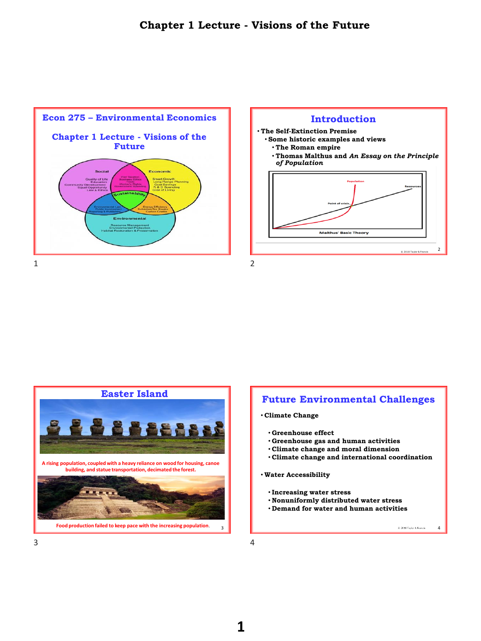





# **Future Environmental Challenges**

- **Climate Change**
	- **Greenhouse effect**
	- **Greenhouse gas and human activities**
	- **Climate change and moral dimension**
	- **Climate change and international coordination**

#### • **Water Accessibility**

- **Increasing water stress**
- **Nonuniformly distributed water stress**
- **Demand for water and human activities**



C 2016 Teylor & Francis

4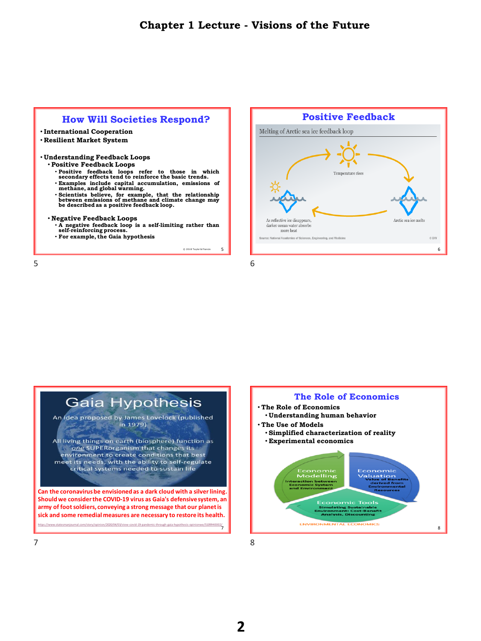## **How Will Societies Respond?**

- **International Cooperation**
- **Resilient Market System**
- **Understanding Feedback Loops**
	- **Positive Feedback Loops**
		- **Positive feedback loops refer to those in which secondary effects tend to reinforce the basic trends.**
		- **Examples include capital accumulation, emissions of methane, and global warming.**
		- **Scientists believe, for example, that the relationship between emissions of methane and climate change may be described as a positive feedback loop.**

#### • **Negative Feedback Loops**

- **A negative feedback loop is a self-limiting rather than self-reinforcing process.**
- **For example, the Gaia hypothesis**

5

 $5\overline{6}$ 





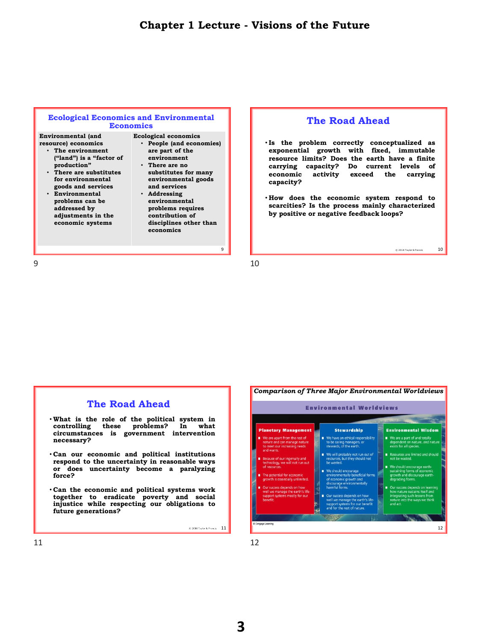### **Ecological Economics and Environmental Economics**

**Environmental (and resource) economics**

- **The environment ("land") is a "factor of production"**
- **There are substitutes for environmental goods and services**
- **Environmental problems can be addressed by adjustments in the economic systems**
- **Ecological economics** • **People (and economies) are part of the environment** • **There are no** 
	- **substitutes for many environmental goods and services**
	- **Addressing environmental problems requires contribution of disciplines other than economics**

## **The Road Ahead**

- **Is the problem correctly conceptualized as exponential growth with fixed, immutable resource limits? Does the earth have a finite carrying capacity? Do current levels of economic activity exceed the carrying capacity?**
- **How does the economic system respond to scarcities? Is the process mainly characterized by positive or negative feedback loops?**

10

© 2018 Taylor & Francis

 $9 \hspace{2.5cm} 10$ 

9

| <b>The Road Ahead</b>                                                                                                                                             |       |
|-------------------------------------------------------------------------------------------------------------------------------------------------------------------|-------|
| . What is the role of the political system in<br>controlling these problems? In what<br>circumstances is government intervention<br>necessary?                    |       |
| . Can our economic and political institutions<br>respond to the uncertainty in reasonable ways<br>or does uncertainty become a paralyzing<br>force?               |       |
| . Can the economic and political systems work<br>together to eradicate poverty and social<br>injustice while respecting our obligations to<br>future generations? |       |
| $$2018$ Teylor & Frencis $11$                                                                                                                                     | @ Cen |
| 11                                                                                                                                                                |       |